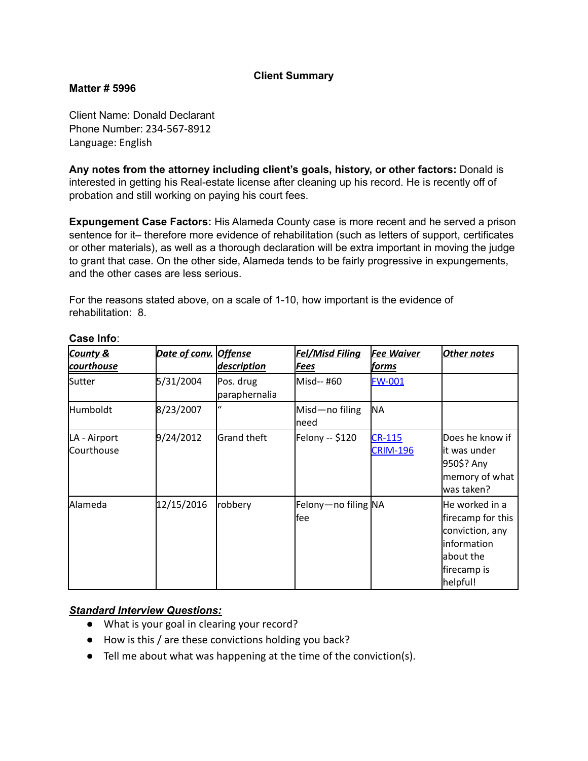## **Client Summary**

#### **Matter # 5996**

Client Name: Donald Declarant Phone Number: 234-567-8912 Language: English

**Any notes from the attorney including client's goals, history, or other factors:** Donald is interested in getting his Real-estate license after cleaning up his record. He is recently off of probation and still working on paying his court fees.

**Expungement Case Factors:** His Alameda County case is more recent and he served a prison sentence for it– therefore more evidence of rehabilitation (such as letters of support, certificates or other materials), as well as a thorough declaration will be extra important in moving the judge to grant that case. On the other side, Alameda tends to be fairly progressive in expungements, and the other cases are less serious.

For the reasons stated above, on a scale of 1-10, how important is the evidence of rehabilitation: 8.

| <b>County &amp;</b><br>courthouse | Date of conv. Offense | description                | <b>Fel/Misd Filing</b><br>Fees | <b>Fee Waiver</b><br>forms       | Other notes                                                                                                    |
|-----------------------------------|-----------------------|----------------------------|--------------------------------|----------------------------------|----------------------------------------------------------------------------------------------------------------|
| Sutter                            | 5/31/2004             | Pos. drug<br>paraphernalia | Misd-- #60                     | <b>FW-001</b>                    |                                                                                                                |
| Humboldt                          | 8/23/2007             | $\mathbf{u}$               | Misd-no filing<br>lneed        | NA                               |                                                                                                                |
| LA - Airport<br>Courthouse        | 9/24/2012             | <b>Grand theft</b>         | Felony -- \$120                | <b>CR-115</b><br><b>CRIM-196</b> | Does he know if<br>lit was under<br>950\$? Any<br>memory of what<br>was taken?                                 |
| Alameda                           | 12/15/2016            | robbery                    | Felony-no filing NA<br>lfee    |                                  | He worked in a<br>firecamp for this<br>conviction, any<br>linformation<br>about the<br>firecamp is<br>helpful! |

#### **Case Info**:

## *Standard Interview Questions:*

- What is your goal in clearing your record?
- How is this / are these convictions holding you back?
- Tell me about what was happening at the time of the conviction(s).